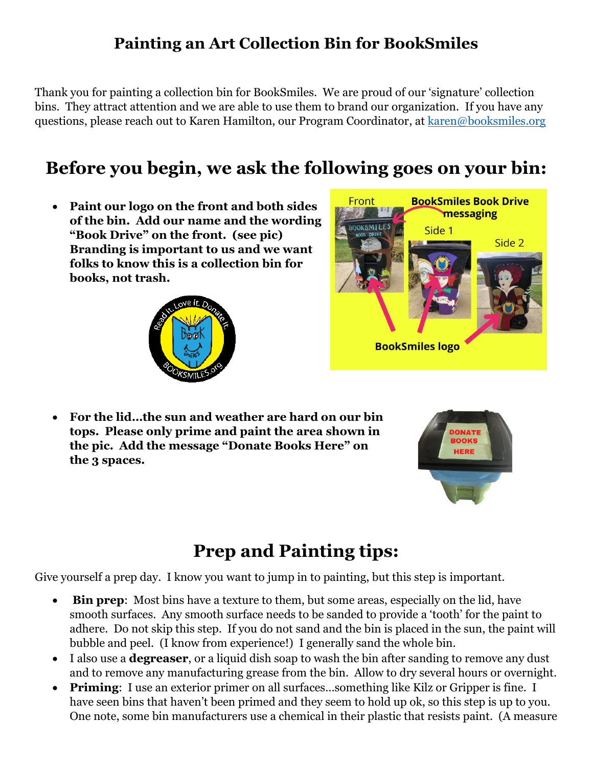### **Painting an Art Collection Bin for BookSmiles**

Thank you for painting a collection bin for BookSmiles. We are proud of our 'signature' collection bins. They attract attention and we are able to use them to brand our organization. If you have any questions, please reach out to Karen Hamilton, our Program Coordinator, at [karen@booksmiles.org](mailto:karen@booksmiles.org)

## **Before you begin, we ask the following goes on your bin:**

 **Paint our logo on the front and both sides of the bin. Add our name and the wording "Book Drive" on the front. (see pic) Branding is important to us and we want folks to know this is a collection bin for books, not trash.**





 **For the lid…the sun and weather are hard on our bin tops. Please only prime and paint the area shown in the pic. Add the message "Donate Books Here" on the 3 spaces.** 



### **Prep and Painting tips:**

Give yourself a prep day. I know you want to jump in to painting, but this step is important.

- **Bin prep**: Most bins have a texture to them, but some areas, especially on the lid, have smooth surfaces. Any smooth surface needs to be sanded to provide a 'tooth' for the paint to adhere. Do not skip this step. If you do not sand and the bin is placed in the sun, the paint will bubble and peel. (I know from experience!) I generally sand the whole bin.
- I also use a **degreaser**, or a liquid dish soap to wash the bin after sanding to remove any dust and to remove any manufacturing grease from the bin. Allow to dry several hours or overnight.
- **Priming**: I use an exterior primer on all surfaces...something like Kilz or Gripper is fine. I have seen bins that haven't been primed and they seem to hold up ok, so this step is up to you. One note, some bin manufacturers use a chemical in their plastic that resists paint. (A measure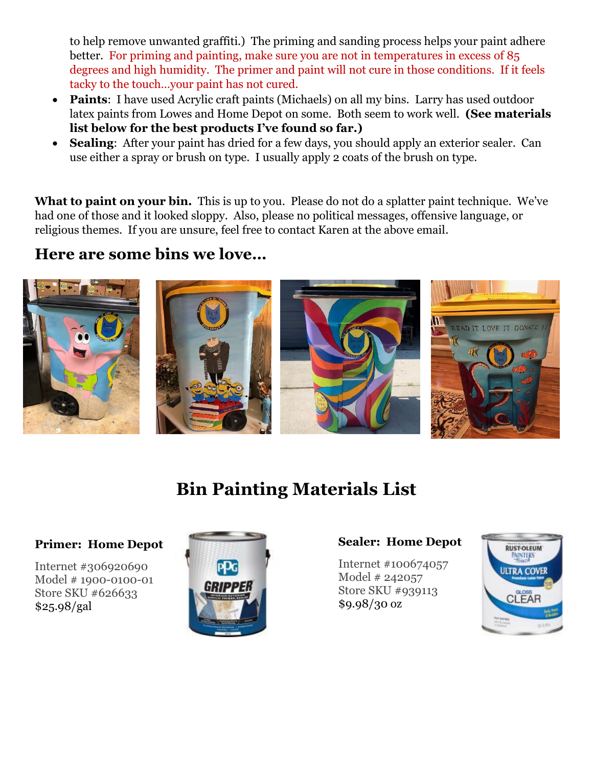to help remove unwanted graffiti.) The priming and sanding process helps your paint adhere better. For priming and painting, make sure you are not in temperatures in excess of 85 degrees and high humidity. The primer and paint will not cure in those conditions. If it feels tacky to the touch…your paint has not cured.

- **Paints:** I have used Acrylic craft paints (Michaels) on all my bins. Larry has used outdoor latex paints from Lowes and Home Depot on some. Both seem to work well. **(See materials list below for the best products I've found so far.)**
- **Sealing:** After your paint has dried for a few days, you should apply an exterior sealer. Can use either a spray or brush on type. I usually apply 2 coats of the brush on type.

What to paint on your bin. This is up to you. Please do not do a splatter paint technique. We've had one of those and it looked sloppy. Also, please no political messages, offensive language, or religious themes. If you are unsure, feel free to contact Karen at the above email.

#### **Here are some bins we love…**



## **Bin Painting Materials List**

#### **Primer: Home Depot**

Internet #306920690 Model # 1900-0100-01 Store SKU #626633 \$25.98/gal



#### **Sealer: Home Depot**

Internet #100674057 Model # 242057 Store SKU #939113 \$9.98/30 oz